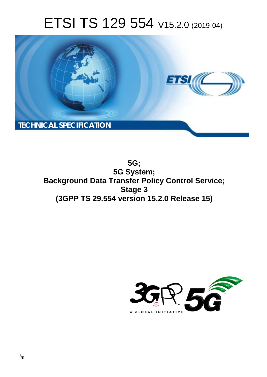# ETSI TS 129 554 V15.2.0 (2019-04)



**5G; 5G System; Background Data Transfer Policy Control Service; Stage 3 (3GPP TS 29.554 version 15.2.0 Release 15)** 

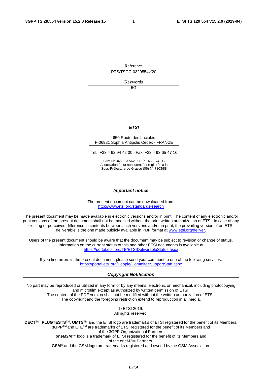Reference RTS/TSGC-0329554vf20

Keywords

5G

#### *ETSI*

#### 650 Route des Lucioles F-06921 Sophia Antipolis Cedex - FRANCE

Tel.: +33 4 92 94 42 00 Fax: +33 4 93 65 47 16

Siret N° 348 623 562 00017 - NAF 742 C Association à but non lucratif enregistrée à la Sous-Préfecture de Grasse (06) N° 7803/88

#### *Important notice*

The present document can be downloaded from: <http://www.etsi.org/standards-search>

The present document may be made available in electronic versions and/or in print. The content of any electronic and/or print versions of the present document shall not be modified without the prior written authorization of ETSI. In case of any existing or perceived difference in contents between such versions and/or in print, the prevailing version of an ETSI deliverable is the one made publicly available in PDF format at [www.etsi.org/deliver](http://www.etsi.org/deliver).

Users of the present document should be aware that the document may be subject to revision or change of status. Information on the current status of this and other ETSI documents is available at <https://portal.etsi.org/TB/ETSIDeliverableStatus.aspx>

If you find errors in the present document, please send your comment to one of the following services: <https://portal.etsi.org/People/CommiteeSupportStaff.aspx>

#### *Copyright Notification*

No part may be reproduced or utilized in any form or by any means, electronic or mechanical, including photocopying and microfilm except as authorized by written permission of ETSI. The content of the PDF version shall not be modified without the written authorization of ETSI. The copyright and the foregoing restriction extend to reproduction in all media.

> © ETSI 2019. All rights reserved.

**DECT**TM, **PLUGTESTS**TM, **UMTS**TM and the ETSI logo are trademarks of ETSI registered for the benefit of its Members. **3GPP**TM and **LTE**TM are trademarks of ETSI registered for the benefit of its Members and of the 3GPP Organizational Partners. **oneM2M™** logo is a trademark of ETSI registered for the benefit of its Members and of the oneM2M Partners. **GSM**® and the GSM logo are trademarks registered and owned by the GSM Association.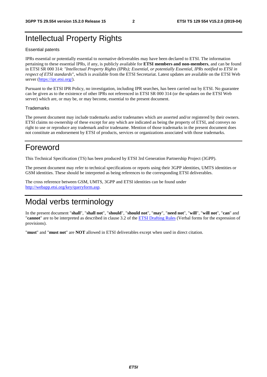# Intellectual Property Rights

#### Essential patents

IPRs essential or potentially essential to normative deliverables may have been declared to ETSI. The information pertaining to these essential IPRs, if any, is publicly available for **ETSI members and non-members**, and can be found in ETSI SR 000 314: *"Intellectual Property Rights (IPRs); Essential, or potentially Essential, IPRs notified to ETSI in respect of ETSI standards"*, which is available from the ETSI Secretariat. Latest updates are available on the ETSI Web server ([https://ipr.etsi.org/\)](https://ipr.etsi.org/).

Pursuant to the ETSI IPR Policy, no investigation, including IPR searches, has been carried out by ETSI. No guarantee can be given as to the existence of other IPRs not referenced in ETSI SR 000 314 (or the updates on the ETSI Web server) which are, or may be, or may become, essential to the present document.

#### **Trademarks**

The present document may include trademarks and/or tradenames which are asserted and/or registered by their owners. ETSI claims no ownership of these except for any which are indicated as being the property of ETSI, and conveys no right to use or reproduce any trademark and/or tradename. Mention of those trademarks in the present document does not constitute an endorsement by ETSI of products, services or organizations associated with those trademarks.

# Foreword

This Technical Specification (TS) has been produced by ETSI 3rd Generation Partnership Project (3GPP).

The present document may refer to technical specifications or reports using their 3GPP identities, UMTS identities or GSM identities. These should be interpreted as being references to the corresponding ETSI deliverables.

The cross reference between GSM, UMTS, 3GPP and ETSI identities can be found under [http://webapp.etsi.org/key/queryform.asp.](http://webapp.etsi.org/key/queryform.asp)

# Modal verbs terminology

In the present document "**shall**", "**shall not**", "**should**", "**should not**", "**may**", "**need not**", "**will**", "**will not**", "**can**" and "**cannot**" are to be interpreted as described in clause 3.2 of the [ETSI Drafting Rules](https://portal.etsi.org/Services/editHelp!/Howtostart/ETSIDraftingRules.aspx) (Verbal forms for the expression of provisions).

"**must**" and "**must not**" are **NOT** allowed in ETSI deliverables except when used in direct citation.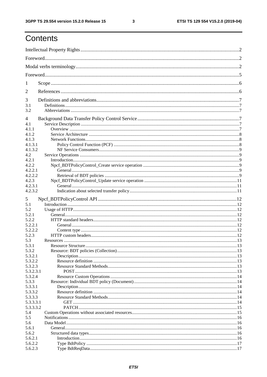$\mathbf{3}$ 

# Contents

| 1                |  |
|------------------|--|
| 2                |  |
| 3                |  |
| 3.1              |  |
| 3.2              |  |
| $\overline{4}$   |  |
| 4.1              |  |
| 4.1.1            |  |
| 4.1.2            |  |
| 4.1.3            |  |
| 4.1.3.1          |  |
| 4.1.3.2          |  |
| 4.2<br>4.2.1     |  |
| 4.2.2            |  |
| 4.2.2.1          |  |
| 4.2.2.2          |  |
| 4.2.3            |  |
| 4.2.3.1          |  |
| 4.2.3.2          |  |
|                  |  |
| 5                |  |
| 5.1              |  |
| 5.2              |  |
| 5.2.1            |  |
| 5.2.2<br>5.2.2.1 |  |
| 5.2.2.2          |  |
| 5.2.3            |  |
| 5.3              |  |
| 5.3.1            |  |
| 5.3.2            |  |
| 5.3.2.1          |  |
| 5.3.2.2          |  |
| 5.3.2.3          |  |
| 5.3.2.3.1        |  |
| 5.3.2.4          |  |
| 5.3.3            |  |
| 5.3.3.1          |  |
| 5.3.3.2          |  |
| 5.3.3.3          |  |
| 5.3.3.3.1        |  |
| 5.3.3.3.2        |  |
| 5.4              |  |
| 5.5              |  |
| 5.6              |  |
| 5.6.1            |  |
| 5.6.2            |  |
| 5.6.2.1          |  |
| 5.6.2.2          |  |
| 5.6.2.3          |  |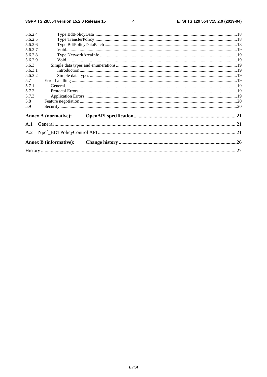$\overline{\mathbf{4}}$ 

|                  | <b>Annex B (informative):</b> |  |
|------------------|-------------------------------|--|
| A.2              |                               |  |
|                  |                               |  |
|                  | <b>Annex A (normative):</b>   |  |
| 5.9              |                               |  |
| 5.8              |                               |  |
| 5.7.3            |                               |  |
| 5.7.2            |                               |  |
| 5.7.1            |                               |  |
| 5.7              |                               |  |
| 5.6.3.2          |                               |  |
| 5.6.3<br>5.6.3.1 |                               |  |
| 5.6.2.9          |                               |  |
| 5.6.2.8          |                               |  |
| 5.6.2.7          |                               |  |
| 5.6.2.6          |                               |  |
| 5.6.2.5          |                               |  |
| 5.6.2.4          |                               |  |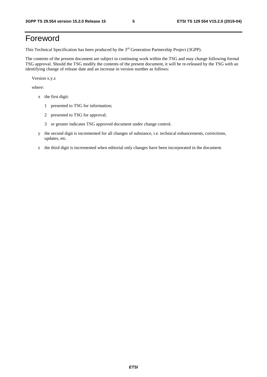# Foreword

This Technical Specification has been produced by the 3rd Generation Partnership Project (3GPP).

The contents of the present document are subject to continuing work within the TSG and may change following formal TSG approval. Should the TSG modify the contents of the present document, it will be re-released by the TSG with an identifying change of release date and an increase in version number as follows:

Version x.y.z

where:

- x the first digit:
	- 1 presented to TSG for information;
	- 2 presented to TSG for approval;
	- 3 or greater indicates TSG approved document under change control.
- y the second digit is incremented for all changes of substance, i.e. technical enhancements, corrections, updates, etc.
- z the third digit is incremented when editorial only changes have been incorporated in the document.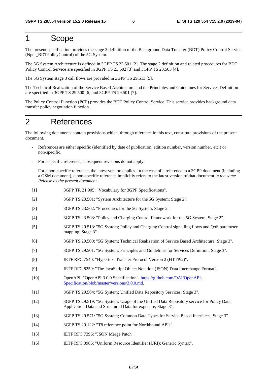# 1 Scope

The present specification provides the stage 3 definition of the Background Data Transfer (BDT) Policy Control Service (Npcf\_BDTPolicyControl) of the 5G System.

The 5G System Architecture is defined in 3GPP TS 23.501 [2]. The stage 2 definition and related procedures for BDT Policy Control Service are specified in 3GPP TS 23.502 [3] and 3GPP TS 23.503 [4].

The 5G System stage 3 call flows are provided in 3GPP TS 29.513 [5].

The Technical Realization of the Service Based Architecture and the Principles and Guidelines for Services Definition are specified in 3GPP TS 29.500 [6] and 3GPP TS 29.501 [7].

The Policy Control Function (PCF) provides the BDT Policy Control Service. This service provides background data transfer policy negotiation function.

# 2 References

The following documents contain provisions which, through reference in this text, constitute provisions of the present document.

- References are either specific (identified by date of publication, edition number, version number, etc.) or non-specific.
- For a specific reference, subsequent revisions do not apply.
- For a non-specific reference, the latest version applies. In the case of a reference to a 3GPP document (including a GSM document), a non-specific reference implicitly refers to the latest version of that document *in the same Release as the present document*.
- [1] 3GPP TR 21.905: "Vocabulary for 3GPP Specifications".
- [2] 3GPP TS 23.501: "System Architecture for the 5G System; Stage 2".
- [3] 3GPP TS 23.502: "Procedures for the 5G System; Stage 2".
- [4] 3GPP TS 23.503: "Policy and Charging Control Framework for the 5G System; Stage 2".
- [5] 3GPP TS 29.513: "5G System; Policy and Charging Control signalling flows and QoS parameter mapping; Stage 3".
- [6] 3GPP TS 29.500: "5G System; Technical Realization of Service Based Architecture; Stage 3".
- [7] 3GPP TS 29.501: "5G System; Principles and Guidelines for Services Definition; Stage 3".
- [8] IETF RFC 7540: "Hypertext Transfer Protocol Version 2 (HTTP/2)".
- [9] IETF RFC 8259: "The JavaScript Object Notation (JSON) Data Interchange Format".
- [10] OpenAPI: "OpenAPI 3.0.0 Specification", [https://github.com/OAI/OpenAPI](https://github.com/OAI/OpenAPI-Specification/blob/master/versions/3.0.0.md)-[Specification/blob/master/versions/3.0.0.md](https://github.com/OAI/OpenAPI-Specification/blob/master/versions/3.0.0.md).
- [11] 3GPP TS 29.504: "5G System; Unified Data Repository Services; Stage 3".
- [12] 3GPP TS 29.519: "5G System; Usage of the Unified Data Repository service for Policy Data, Application Data and Structured Data for exposure; Stage 3".
- [13] 3GPP TS 29.571: "5G System; Common Data Types for Service Based Interfaces; Stage 3".
- [14] 3GPP TS 29.122: "T8 reference point for Northbound APIs".
- [15] IETF RFC 7396: "JSON Merge Patch".
- [16] IETF RFC 3986: "Uniform Resource Identifier (URI): Generic Syntax".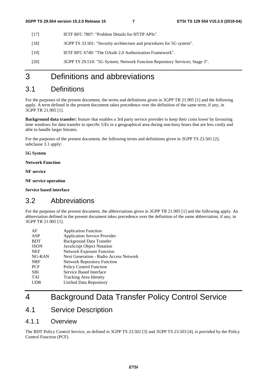- [17] IETF RFC 7807: "Problem Details for HTTP APIs".
- [18] 3GPP TS 33.501: "Security architecture and procedures for 5G system".
- [19] IETF RFC 6749: "The OAuth 2.0 Authorization Framework".
- [20] 3GPP TS 29.510: "5G System; Network Function Repository Services; Stage 3".

# 3 Definitions and abbreviations

### 3.1 Definitions

For the purposes of the present document, the terms and definitions given in 3GPP TR 21.905 [1] and the following apply. A term defined in the present document takes precedence over the definition of the same term, if any, in 3GPP TR 21.905 [1].

**Background data transfer:** feature that enables a 3rd party service provider to keep their costs lower by favouring time windows for data transfer to specific UEs in a geographical area during non-busy hours that are less costly and able to handle larger bitrates.

For the purposes of the present document, the following terms and definitions given in 3GPP TS 23.501 [2], subclause 3.1 apply:

**5G System** 

**Network Function** 

**NF service** 

**NF service operation** 

**Service based interface** 

### 3.2 Abbreviations

For the purposes of the present document, the abbreviations given in 3GPP TR 21.905 [1] and the following apply. An abbreviation defined in the present document takes precedence over the definition of the same abbreviation, if any, in 3GPP TR 21.905 [1].

| AF          | <b>Application Function</b>            |
|-------------|----------------------------------------|
| ASP         | <b>Application Service Provider</b>    |
| <b>BDT</b>  | <b>Background Data Transfer</b>        |
| <b>JSON</b> | JavaScript Object Notation             |
| <b>NEF</b>  | <b>Network Exposure Function</b>       |
| NG-RAN      | Next Generation - Radio Access Network |
| <b>NRF</b>  | <b>Network Repository Function</b>     |
| <b>PCF</b>  | <b>Policy Control Function</b>         |
| <b>SBI</b>  | Service Based Interface                |
| <b>TAI</b>  | Tracking Area Identity                 |
| UDR         | Unified Data Repository                |

# 4 Background Data Transfer Policy Control Service

### 4.1 Service Description

### 4.1.1 Overview

The BDT Policy Control Service, as defined in 3GPP TS 23.502 [3] and 3GPP TS 23.503 [4], is provided by the Policy Control Function (PCF).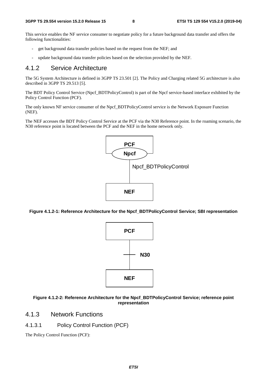This service enables the NF service consumer to negotiate policy for a future background data transfer and offers the following functionalities:

- get background data transfer policies based on the request from the NEF; and
- update background data transfer policies based on the selection provided by the NEF.

#### 4.1.2 Service Architecture

The 5G System Architecture is defined in 3GPP TS 23.501 [2]. The Policy and Charging related 5G architecture is also described in 3GPP TS 29.513 [5].

The BDT Policy Control Service (Npcf\_BDTPolicyControl) is part of the Npcf service-based interface exhibited by the Policy Control Function (PCF).

The only known NF service consumer of the Npcf\_BDTPolicyControl service is the Network Exposure Function (NEF).

The NEF accesses the BDT Policy Control Service at the PCF via the N30 Reference point. In the roaming scenario, the N30 reference point is located between the PCF and the NEF in the home network only.



**Figure 4.1.2-1: Reference Architecture for the Npcf\_BDTPolicyControl Service; SBI representation** 



#### **Figure 4.1.2-2: Reference Architecture for the Npcf\_BDTPolicyControl Service; reference point representation**

- 4.1.3 Network Functions
- 4.1.3.1 Policy Control Function (PCF)

The Policy Control Function (PCF):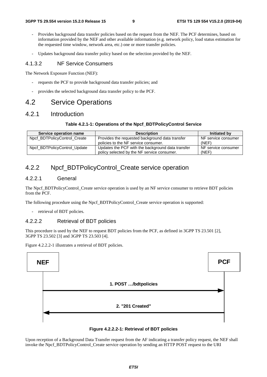- Provides background data transfer policies based on the request from the NEF. The PCF determines, based on information provided by the NEF and other available information (e.g. network policy, load status estimation for the requested time window, network area, etc.) one or more transfer policies.
- Updates background data transfer policy based on the selection provided by the NEF.

#### 4.1.3.2 NF Service Consumers

The Network Exposure Function (NEF):

- requests the PCF to provide background data transfer policies; and
- provides the selected background data transfer policy to the PCF.

### 4.2 Service Operations

### 4.2.1 Introduction

#### **Table 4.2.1-1: Operations of the Npcf\_BDTPolicyControl Service**

| Service operation name       | <b>Description</b>                                | Initiated by        |
|------------------------------|---------------------------------------------------|---------------------|
| Npcf BDTPolicyControl Create | Provides the requested background data transfer   | NF service consumer |
|                              | policies to the NF service consumer.              | (NEF)               |
| Npcf BDTPolicyControl Update | Updates the PCF with the background data transfer | NF service consumer |
|                              | policy selected by the NF service consumer.       | (NEF)               |

### 4.2.2 Npcf\_BDTPolicyControl\_Create service operation

#### 4.2.2.1 General

The Npcf\_BDTPolicyControl\_Create service operation is used by an NF service consumer to retrieve BDT policies from the PCF.

The following procedure using the Npcf\_BDTPolicyControl\_Create service operation is supported:

retrieval of BDT policies.

#### 4.2.2.2 Retrieval of BDT policies

This procedure is used by the NEF to request BDT policies from the PCF, as defined in 3GPP TS 23.501 [2], 3GPP TS 23.502 [3] and 3GPP TS 23.503 [4].

Figure 4.2.2.2-1 illustrates a retrieval of BDT policies.





Upon reception of a Background Data Transfer request from the AF indicating a transfer policy request, the NEF shall invoke the Npcf\_BDTPolicyControl\_Create service operation by sending an HTTP POST request to the URI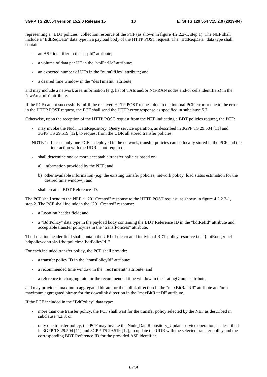representing a "BDT policies" collection resource of the PCF (as shown in figure 4.2.2.2-1, step 1). The NEF shall include a "BdtReqData" data type in a payload body of the HTTP POST request. The "BdtReqData" data type shall contain:

- an ASP identifier in the "aspId" attribute;
- a volume of data per UE in the "volPerUe" attribute;
- an expected number of UEs in the "numOfUes" attribute; and
- a desired time window in the "desTimeInt" attribute,

and may include a network area information (e.g. list of TAIs and/or NG-RAN nodes and/or cells identifiers) in the "nwAreaInfo" attribute.

If the PCF cannot successfully fulfil the received HTTP POST request due to the internal PCF error or due to the error in the HTTP POST request, the PCF shall send the HTTP error response as specified in subclause 5.7.

Otherwise, upon the reception of the HTTP POST request from the NEF indicating a BDT policies request, the PCF:

may invoke the Nudr\_DataRepository\_Query service operation, as described in 3GPP TS 29.504 [11] and 3GPP TS 29.519 [12], to request from the UDR all stored transfer policies;

NOTE 1: In case only one PCF is deployed in the network, transfer policies can be locally stored in the PCF and the interaction with the UDR is not required.

- shall determine one or more acceptable transfer policies based on:
	- a) information provided by the NEF; and
	- b) other available information (e.g. the existing transfer policies, network policy, load status estimation for the desired time window); and
- shall create a BDT Reference ID.

The PCF shall send to the NEF a "201 Created" response to the HTTP POST request, as shown in figure 4.2.2.2-1, step 2. The PCF shall include in the "201 Created" response:

- a Location header field; and
- a "BdtPolicy" data type in the payload body containing the BDT Reference ID in the "bdtRefId" attribute and acceptable transfer policy/ies in the "transfPolicies" attribute.

The Location header field shall contain the URI of the created individual BDT policy resource i.e. "{apiRoot}/npcfbdtpolicycontrol/v1/bdtpolicies/{bdtPolicyId}".

For each included transfer policy, the PCF shall provide:

- a transfer policy ID in the "transPolicyId" attribute;
- a recommended time window in the "recTimeInt" attribute; and
- a reference to charging rate for the recommended time window in the "ratingGroup" attribute,

and may provide a maximum aggregated bitrate for the uplink direction in the "maxBitRateUl" attribute and/or a maximum aggregated bitrate for the downlink direction in the "maxBitRateDl" attribute.

If the PCF included in the "BdtPolicy" data type:

- more than one transfer policy, the PCF shall wait for the transfer policy selected by the NEF as described in subclause 4.2.3; or
- only one transfer policy, the PCF may invoke the Nudr\_DataRepository\_Update service operation, as described in 3GPP TS 29.504 [11] and 3GPP TS 29.519 [12], to update the UDR with the selected transfer policy and the corresponding BDT Reference ID for the provided ASP identifier.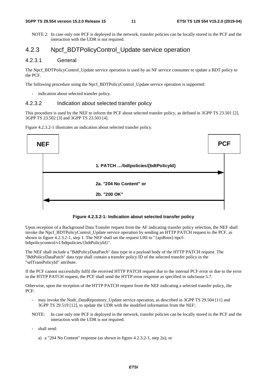NOTE 2: In case only one PCF is deployed in the network, transfer policies can be locally stored in the PCF and the interaction with the UDR is not required.

### 4.2.3 Npcf\_BDTPolicyControl\_Update service operation

#### 4.2.3.1 General

The Npcf\_BDTPolicyControl\_Update service operation is used by an NF service consumer to update a BDT policy to the PCF.

The following procedure using the Npcf\_BDTPolicyControl\_Update service operation is supported:

indication about selected transfer policy.

#### 4.2.3.2 Indication about selected transfer policy

This procedure is used by the NEF to inform the PCF about selected transfer policy, as defined in 3GPP TS 23.501 [2], 3GPP TS 23.502 [3] and 3GPP TS 23.503 [4].

Figure 4.2.3.2-1 illustrates an indication about selected transfer policy.



**Figure 4.2.3.2-1: Indication about selected transfer policy** 

Upon reception of a Background Data Transfer request from the AF indicating transfer policy selection, the NEF shall invoke the Npcf\_BDTPolicyControl\_Update service operation by sending an HTTP PATCH request to the PCF, as shown in figure 4.2.3.2-1, step 1. The NEF shall set the request URI to "{apiRoot}/npcfbdtpolicycontrol/v1/bdtpolicies/{bdtPolicyId}".

The NEF shall include a "BdtPolicyDataPatch" data type in a payload body of the HTTP PATCH request. The "BdtPolicyDataPatch" data type shall contain a transfer policy ID of the selected transfer policy in the "selTransPolicyId" attribute.

If the PCF cannot successfully fulfil the received HTTP PATCH request due to the internal PCF error or due to the error in the HTTP PATCH request, the PCF shall send the HTTP error response as specified in subclause 5.7.

Otherwise, upon the reception of the HTTP PATCH request from the NEF indicating a selected transfer policy, the PCF:

- may invoke the Nudr DataRepository Update service operation, as described in 3GPP TS 29.504 [11] and 3GPP TS 29.519 [12], to update the UDR with the modified information from the NEF;
- NOTE: In case only one PCF is deployed in the network, transfer policies can be locally stored in the PCF and the interaction with the UDR is not required.
- shall send:
	- a) a "204 No Content" response (as shown in figure 4.2.3.2-1, step 2a); or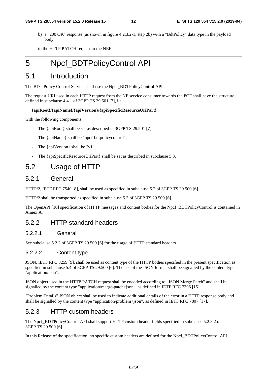b) a "200 OK" response (as shown in figure 4.2.3.2-1, step 2b) with a "BdtPolicy" data type in the payload body,

to the HTTP PATCH request to the NEF.

# 5 Npcf\_BDTPolicyControl API

### 5.1 Introduction

The BDT Policy Control Service shall use the Npcf\_BDTPolicyControl API.

The request URI used in each HTTP request from the NF service consumer towards the PCF shall have the structure defined in subclause 4.4.1 of 3GPP TS 29.501 [7], i.e.:

#### **{apiRoot}/{apiName}/{apiVersion}/{apiSpecificResourceUriPart}**

with the following components:

- The {apiRoot} shall be set as described in 3GPP TS 29.501 [7].
- The {apiName} shall be "npcf-bdtpolicycontrol".
- The {apiVersion} shall be "v1".
- The {apiSpecificResourceUriPart} shall be set as described in subclause 5.3.

### 5.2 Usage of HTTP

#### 5.2.1 General

HTTP/2, IETF RFC 7540 [8], shall be used as specified in subclause 5.2 of 3GPP TS 29.500 [6].

HTTP/2 shall be transported as specified in subclause 5.3 of 3GPP TS 29.500 [6].

The OpenAPI [10] specification of HTTP messages and content bodies for the Npcf\_BDTPolicyControl is contained in Annex A.

### 5.2.2 HTTP standard headers

#### 5.2.2.1 General

See subclause 5.2.2 of 3GPP TS 29.500 [6] for the usage of HTTP standard headers.

#### 5.2.2.2 Content type

JSON, IETF RFC 8259 [9], shall be used as content type of the HTTP bodies specified in the present specification as specified in subclause 5.4 of 3GPP TS 29.500 [6]. The use of the JSON format shall be signalled by the content type "application/json".

JSON object used in the HTTP PATCH request shall be encoded according to "JSON Merge Patch" and shall be signalled by the content type "application/merge-patch+json", as defined in IETF RFC 7396 [15].

"Problem Details" JSON object shall be used to indicate additional details of the error in a HTTP response body and shall be signalled by the content type "application/problem+json", as defined in IETF RFC 7807 [17].

### 5.2.3 HTTP custom headers

The Npcf\_BDTPolicyControl API shall support HTTP custom header fields specified in subclause 5.2.3.2 of 3GPP TS 29.500 [6].

In this Release of the specification, no specific custom headers are defined for the Npcf\_BDTPolicyControl API.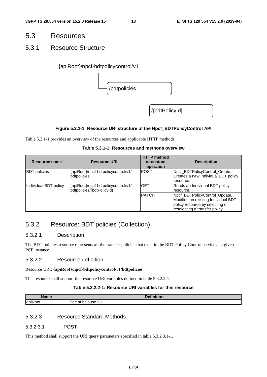### 5.3 Resources

### 5.3.1 Resource Structure

#### {apiRoot}/npcf-bdtpolicycontrol/v1



#### **Figure 5.3.1-1: Resource URI structure of the Npcf\_BDTPolicyControl API**

Table 5.3.1-1 provides an overview of the resources and applicable HTTP methods.

#### **Table 5.3.1-1: Resources and methods overview**

| Resource name         | <b>Resource URI</b>                                              | <b>HTTP method</b><br>or custom<br>operation | <b>Description</b>                                                                                                                        |
|-----------------------|------------------------------------------------------------------|----------------------------------------------|-------------------------------------------------------------------------------------------------------------------------------------------|
| <b>BDT</b> policies   | {apiRoot}/npcf-bdtpolicycontrol/v1/<br>bdtpolicies               | IPOST                                        | Npcf_BDTPolicyControl_Create.<br>Creates a new Individual BDT policy<br>resource.                                                         |
| Individual BDT policy | {apiRoot}/npcf-bdtpolicycontrol/v1/<br>bdtpolicies/{bdtPolicyId} | <b>GET</b>                                   | Reads an Individual BDT policy<br>resource.                                                                                               |
|                       |                                                                  | <b>PATCH</b>                                 | Npcf_BDTPolicyControl_Update.<br>Modifies an existing Individual BDT<br>policy resource by selecting or<br>reselecting a transfer policy. |

### 5.3.2 Resource: BDT policies (Collection)

#### 5.3.2.1 Description

The BDT policies resource represents all the transfer policies that exist in the BDT Policy Control service at a given PCF instance.

#### 5.3.2.2 Resource definition

#### Resource URI: **{apiRoot}/npcf-bdtpolicycontrol/v1/bdtpolicies**

This resource shall support the resource URI variables defined in table 5.3.2.2-1.

#### **Table 5.3.2.2-1: Resource URI variables for this resource**

| <b>Name</b>                  | .<br>n.c.                             |
|------------------------------|---------------------------------------|
| $\cdot$ $-$<br>lapiF<br>₹oot | clause 5.1.<br>$\sim$<br>See.<br>ະບາດ |

#### 5.3.2.3 Resource Standard Methods

#### 5.3.2.3.1 POST

This method shall support the URI query parameters specified in table 5.3.2.3.1-1.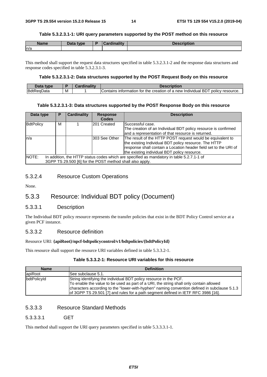#### **Table 5.3.2.3.1-1: URI query parameters supported by the POST method on this resource**

| <b>Name</b> | Data type | D | Cardinality | <b>Dooguintinu</b><br>uvn |
|-------------|-----------|---|-------------|---------------------------|
| n/a         |           |   |             |                           |

This method shall support the request data structures specified in table 5.3.2.3.1-2 and the response data structures and response codes specified in table 5.3.2.3.1-3.

#### **Table 5.3.2.3.1-2: Data structures supported by the POST Request Body on this resource**

| $-1-$      |   |                                                                                                          |
|------------|---|----------------------------------------------------------------------------------------------------------|
| <b>Bdt</b> | M | policy<br>creation<br>resource.<br>lContains<br>tor<br>the<br>of a new Individual<br>ВD<br>ormation<br>m |

#### **Table 5.3.2.3.1-3: Data structures supported by the POST Response Body on this resource**

| Data type | P                                                                                                                                                     | <b>Cardinality</b> | <b>Response</b><br><b>Codes</b> | <b>Description</b>                                                                                                                                                                                                                      |  |
|-----------|-------------------------------------------------------------------------------------------------------------------------------------------------------|--------------------|---------------------------------|-----------------------------------------------------------------------------------------------------------------------------------------------------------------------------------------------------------------------------------------|--|
| BdtPolicy | м                                                                                                                                                     |                    | 201 Created                     | Successful case.<br>The creation of an Individual BDT policy resource is confirmed<br>and a representation of that resource is returned.                                                                                                |  |
| ln/a      |                                                                                                                                                       |                    | 303 See Other                   | The result of the HTTP POST request would be equivalent to<br>the existing Individual BDT policy resource. The HTTP<br>response shall contain a Location header field set to the URI of<br>the existing individual BDT policy resource. |  |
| NOTE:     | In addition, the HTTP status codes which are specified as mandatory in table 5.2.7.1-1 of<br>3GPP TS 29.500 [6] for the POST method shall also apply. |                    |                                 |                                                                                                                                                                                                                                         |  |

#### 5.3.2.4 Resource Custom Operations

None.

### 5.3.3 Resource: Individual BDT policy (Document)

#### 5.3.3.1 Description

The Individual BDT policy resource represents the transfer policies that exist in the BDT Policy Control service at a given PCF instance.

#### 5.3.3.2 Resource definition

#### Resource URI: **{apiRoot}/npcf-bdtpolicycontrol/v1/bdtpolicies/{bdtPolicyId}**

This resource shall support the resource URI variables defined in table 5.3.3.2-1.

#### **Table 5.3.3.2-1: Resource URI variables for this resource**

| <b>Definition</b><br><b>Name</b> |                                                                                                                                                                                                                                                                                                                                                  |  |  |  |  |  |  |
|----------------------------------|--------------------------------------------------------------------------------------------------------------------------------------------------------------------------------------------------------------------------------------------------------------------------------------------------------------------------------------------------|--|--|--|--|--|--|
| apiRoot                          | See subclause 5.1.                                                                                                                                                                                                                                                                                                                               |  |  |  |  |  |  |
| <b>bdtPolicvId</b>               | String identifying the individual BDT policy resource in the PCF.<br>To enable the value to be used as part of a URI, the string shall only contain allowed<br>characters according to the "lower-with-hyphen" naming convention defined in subclause 5.1.3<br>of 3GPP TS 29.501 [7] and rules for a path segment defined in IETF RFC 3986 [16]. |  |  |  |  |  |  |

### 5.3.3.3 Resource Standard Methods

#### 5.3.3.3.1 GET

This method shall support the URI query parameters specified in table 5.3.3.3.1-1.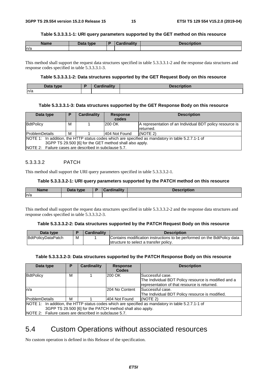#### **Table 5.3.3.3.1-1: URI query parameters supported by the GET method on this resource**

| <b>Name</b> | Data type | <b>Cardinality</b> | <b>Description</b> |
|-------------|-----------|--------------------|--------------------|
| ln/a        |           |                    |                    |

This method shall support the request data structures specified in table 5.3.3.3.1-2 and the response data structures and response codes specified in table 5.3.3.3.1-3.

#### **Table 5.3.3.3.1-2: Data structures supported by the GET Request Body on this resource**

| That<br>tyne<br>Data | $\mathbf{H}$<br><br><b>The company</b><br>. | uvn. |
|----------------------|---------------------------------------------|------|
| n/a                  |                                             |      |

#### **Table 5.3.3.3.1-3: Data structures supported by the GET Response Body on this resource**

| Data type                                             | D                                                       | <b>Cardinality</b> | <b>Response</b> | <b>Description</b>                                                                                |  |  |  |
|-------------------------------------------------------|---------------------------------------------------------|--------------------|-----------------|---------------------------------------------------------------------------------------------------|--|--|--|
|                                                       |                                                         |                    | codes           |                                                                                                   |  |  |  |
| BdtPolicy                                             | м                                                       |                    | 200 OK          | A representation of an Individual BDT policy resource is                                          |  |  |  |
|                                                       |                                                         |                    |                 | returned.                                                                                         |  |  |  |
| <b>ProblemDetails</b>                                 | м                                                       |                    | l404 Not Found  | (NOTE 2)                                                                                          |  |  |  |
|                                                       |                                                         |                    |                 | NOTE 1: In addition, the HTTP status codes which are specified as mandatory in table 5.2.7.1-1 of |  |  |  |
|                                                       | 3GPP TS 29.500 [6] for the GET method shall also apply. |                    |                 |                                                                                                   |  |  |  |
| NOTE 2: Failure cases are described in subclause 5.7. |                                                         |                    |                 |                                                                                                   |  |  |  |

#### 5.3.3.3.2 PATCH

This method shall support the URI query parameters specified in table 5.3.3.3.2-1.

#### **Table 5.3.3.3.2-1: URI query parameters supported by the PATCH method on this resource**

| <b>Name</b> | <b>Data type</b><br>Dald | <b>Cardinality</b> | Description |
|-------------|--------------------------|--------------------|-------------|
| n/a         |                          |                    |             |

This method shall support the request data structures specified in table 5.3.3.3.2-2 and the response data structures and response codes specified in table 5.3.3.3.2-3.

#### **Table 5.3.3.3.2-2: Data structures supported by the PATCH Request Body on this resource**

| Data type                 |   | <b>Cardinality</b> | <b>Description</b>                                                       |
|---------------------------|---|--------------------|--------------------------------------------------------------------------|
| <b>BdtPolicyDataPatch</b> | M |                    | Contains modification instructions to be performed on the BdtPolicy data |
|                           |   |                    | structure to select a transfer policy.                                   |

#### **Table 5.3.3.3.2-3: Data structures supported by the PATCH Response Body on this resource**

| Data type                                                 |   | <b>Cardinality</b> | <b>Response</b> | <b>Description</b>                                                                                |  |  |
|-----------------------------------------------------------|---|--------------------|-----------------|---------------------------------------------------------------------------------------------------|--|--|
|                                                           |   |                    | <b>Codes</b>    |                                                                                                   |  |  |
| BdtPolicy                                                 | M |                    | 200 OK          | lSuccessful case.                                                                                 |  |  |
|                                                           |   |                    |                 | The Individual BDT Policy resource is modified and a                                              |  |  |
|                                                           |   |                    |                 | representation of that resource is returned.                                                      |  |  |
| n/a                                                       |   |                    | I204 No Content | Successful case.                                                                                  |  |  |
|                                                           |   |                    |                 | The Individual BDT Policy resource is modified.                                                   |  |  |
| <b>ProblemDetails</b>                                     | м |                    | 404 Not Found   | (NOTE 2)                                                                                          |  |  |
|                                                           |   |                    |                 | NOTE 1: In addition, the HTTP status codes which are specified as mandatory in table 5.2.7.1-1 of |  |  |
| 3GPP TS 29.500 [6] for the PATCH method shall also apply. |   |                    |                 |                                                                                                   |  |  |
| NOTE 2: Failure cases are described in subclause 5.7.     |   |                    |                 |                                                                                                   |  |  |

### 5.4 Custom Operations without associated resources

No custom operation is defined in this Release of the specification.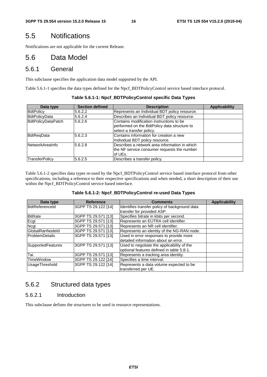### 5.5 Notifications

Notifications are not applicable for the current Release.

### 5.6 Data Model

### 5.6.1 General

This subclause specifies the application data model supported by the API.

Table 5.6.1-1 specifies the data types defined for the Npcf\_BDTPolicyControl service based interface protocol.

| Data type            | <b>Section defined</b> | <b>Description</b>                                                                                                    | <b>Applicability</b> |
|----------------------|------------------------|-----------------------------------------------------------------------------------------------------------------------|----------------------|
| BdtPolicy            | 5.6.2.2                | Represents an Individual BDT policy resource.                                                                         |                      |
| <b>BdtPolicyData</b> | 5.6.2.4                | Describes an Individual BDT policy resource.                                                                          |                      |
| BdtPolicyDataPatch   | 5.6.2.6                | Contains modification instructions to be<br>performed on the BdtPolicy data structure to<br>select a transfer policy. |                      |
| BdtRegData           | 5.6.2.3                | Contains information for creation a new<br>Individual BDT policy resource.                                            |                      |
| NetworkAreaInfo      | 5.6.2.8                | Describes a network area information in which<br>the NF service consumer requests the number<br>lof UEs.              |                      |
| TransferPolicy       | 5.6.2.5                | Describes a transfer policy.                                                                                          |                      |

**Table 5.6.1-1: Npcf\_BDTPolicyControl specific Data Types** 

Table 5.6.1-2 specifies data types re-used by the Npcf\_BDTPolicyControl service based interface protocol from other specifications, including a reference to their respective specifications and when needed, a short description of their use within the Npcf\_BDTPolicyControl service based interface.

| Data type                | <b>Reference</b>    | <b>Comments</b>                               | <b>Applicability</b> |
|--------------------------|---------------------|-----------------------------------------------|----------------------|
| BdtReferenceld           | 3GPP TS 29.122 [14] | Identifies transfer policy of background data |                      |
|                          |                     | transfer for provided ASP.                    |                      |
| <b>BitRate</b>           | 3GPP TS 29.571 [13] | Specifies bitrate in kbits per second.        |                      |
| Ecgi                     | 3GPP TS 29.571 [13] | Represents an EUTRA cell identifier.          |                      |
| Ncgi                     | 3GPP TS 29.571 [13] | Represents an NR cell identifier.             |                      |
| <b>GlobalRanNodeld</b>   | 3GPP TS 29.571 [13] | Represents an identity of the NG-RAN node.    |                      |
| <b>ProblemDetails</b>    | 3GPP TS 29.571 [13] | Used in error responses to provide more       |                      |
|                          |                     | detailed information about an error.          |                      |
| <b>SupportedFeatures</b> | 3GPP TS 29.571 [13] | Used to negotiate the applicability of the    |                      |
|                          |                     | optional features defined in table 5.8-1.     |                      |
| Tai                      | 3GPP TS 29.571 [13] | Represents a tracking area identity.          |                      |
| <b>TimeWindow</b>        | 3GPP TS 29.122 [14] | Specifies a time interval.                    |                      |
| <b>UsageThreshold</b>    | 3GPP TS 29.122 [14] | Represents a data volume expected to be       |                      |
|                          |                     | transferred per UE.                           |                      |

### 5.6.2 Structured data types

#### 5.6.2.1 Introduction

This subclause defines the structures to be used in resource representations.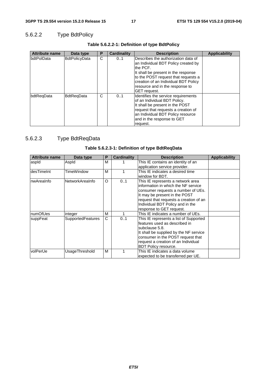### 5.6.2.2 Type BdtPolicy

| <b>Attribute name</b> | Data type            | Р | <b>Cardinality</b> | <b>Description</b>                                                                                                                                                                                                                                                      | <b>Applicability</b> |
|-----------------------|----------------------|---|--------------------|-------------------------------------------------------------------------------------------------------------------------------------------------------------------------------------------------------------------------------------------------------------------------|----------------------|
| bdtPolData            | <b>BdtPolicyData</b> | C | 01                 | Describes the authorization data of<br>an Individual BDT Policy created by<br>the PCF.<br>It shall be present in the response<br>to the POST request that requests a<br>creation of an Individual BDT Policy<br>resource and in the response to<br><b>IGET</b> request. |                      |
| bdtRegData            | <b>BdtRegData</b>    | C | 01                 | Identifies the service requirements<br>of an Individual BDT Policy.<br>It shall be present in the POST<br>request that requests a creation of<br>an Individual BDT Policy resource<br>and in the response to GET<br>request.                                            |                      |

### **Table 5.6.2.2-1: Definition of type BdtPolicy**

### 5.6.2.3 Type BdtReqData

| <b>Attribute name</b> | Data type         | Ρ | Cardinality | <b>Description</b>                     | Applicability |
|-----------------------|-------------------|---|-------------|----------------------------------------|---------------|
| aspid                 | Aspld             | м |             | This IE contains an identity of an     |               |
|                       |                   |   |             | application service provider.          |               |
| ldesTimeInt           | TimeWindow        | м |             | This IE indicates a desired time       |               |
|                       |                   |   |             | window for BDT.                        |               |
| InwAreaInfo           | NetworkAreaInfo   | O | 01          | This IE represents a network area      |               |
|                       |                   |   |             | information in which the NF service    |               |
|                       |                   |   |             | consumer requests a number of UEs.     |               |
|                       |                   |   |             | It may be present in the POST          |               |
|                       |                   |   |             | request that requests a creation of an |               |
|                       |                   |   |             | Individual BDT Policy and in the       |               |
|                       |                   |   |             | response to GET request.               |               |
| InumOfUes             | integer           | M |             | This IE indicates a number of UEs.     |               |
| suppFeat              | SupportedFeatures | C | 0.1         | This IE represents a list of Supported |               |
|                       |                   |   |             | features used as described in          |               |
|                       |                   |   |             | subclause 5.8.                         |               |
|                       |                   |   |             | It shall be supplied by the NF service |               |
|                       |                   |   |             | consumer in the POST request that      |               |
|                       |                   |   |             | request a creation of an Individual    |               |
|                       |                   |   |             | BDT Policy resource.                   |               |
| <b>volPerUe</b>       | UsageThreshold    | м |             | This IE indicates a data volume        |               |
|                       |                   |   |             | expected to be transferred per UE.     |               |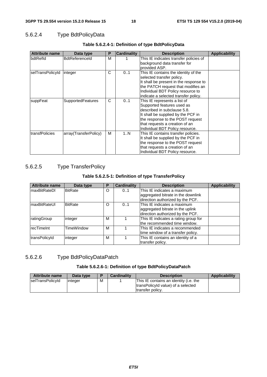### 5.6.2.4 Type BdtPolicyData

| <b>Attribute name</b> | Data type                | P | <b>Cardinality</b> | <b>Description</b>                                                                                                                                                                                                                       | <b>Applicability</b> |
|-----------------------|--------------------------|---|--------------------|------------------------------------------------------------------------------------------------------------------------------------------------------------------------------------------------------------------------------------------|----------------------|
| bdtRefld              | BdtReferenceld           | м |                    | This IE indicates transfer policies of<br>background data transfer for<br>provided ASP.                                                                                                                                                  |                      |
| selTransPolicyId      | integer                  | C | 01                 | This IE contains the identity of the<br>selected transfer policy.<br>It shall be present in the response to<br>the PATCH request that modifies an<br>Individual BDT Policy resource to<br>indicate a selected transfer policy.           |                      |
| suppFeat              | <b>SupportedFeatures</b> | C | 01                 | This IE represents a list of<br>Supported features used as<br>described in subclause 5.8.<br>It shall be supplied by the PCF in<br>the response to the POST request<br>that requests a creation of an<br>Individual BDT Policy resource. |                      |
| transfPolicies        | array(TransferPolicy)    | м | 1N                 | This IE contains transfer policies.<br>It shall be supplied by the PCF in<br>the response to the POST request<br>that requests a creation of an<br>Individual BDT Policy resource.                                                       |                      |

#### **Table 5.6.2.4-1: Definition of type BdtPolicyData**

### 5.6.2.5 Type TransferPolicy

#### **Table 5.6.2.5-1: Definition of type TransferPolicy**

| <b>Attribute name</b> | Data type         | D | <b>Cardinality</b> | <b>Description</b>                   | <b>Applicability</b> |
|-----------------------|-------------------|---|--------------------|--------------------------------------|----------------------|
| ImaxBitRateDl         | <b>BitRate</b>    | O | 0.1                | This IE indicates a maximum          |                      |
|                       |                   |   |                    | aggregated bitrate in the downlink   |                      |
|                       |                   |   |                    | direction authorized by the PCF.     |                      |
| ImaxBitRateUl         | <b>BitRate</b>    | O | 01                 | This IE indicates a maximum          |                      |
|                       |                   |   |                    | aggregated bitrate in the uplink     |                      |
|                       |                   |   |                    | direction authorized by the PCF.     |                      |
| ratingGroup           | integer           | м |                    | This IE indicates a rating group for |                      |
|                       |                   |   |                    | the recommended time window.         |                      |
| recTimeInt            | <b>TimeWindow</b> | М |                    | This IE indicates a recommended      |                      |
|                       |                   |   |                    | time window of a transfer policy.    |                      |
| transPolicyId         | integer           | М |                    | This IE contains an identity of a    |                      |
|                       |                   |   |                    | transfer policy.                     |                      |

### 5.6.2.6 Type BdtPolicyDataPatch

#### **Table 5.6.2.6-1: Definition of type BdtPolicyDataPatch**

| <b>Attribute name</b> | Data type |   | <b>Cardinality</b> | <b>Description</b>                                                                               | <b>Applicability</b> |
|-----------------------|-----------|---|--------------------|--------------------------------------------------------------------------------------------------|----------------------|
| selTransPolicyId      | linteger  | М |                    | This IE contains an identity (i.e. the<br>transPolicyId value) of a selected<br>transfer policy. |                      |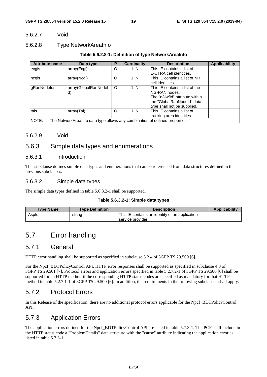#### 5.6.2.7 Void

#### 5.6.2.8 Type NetworkAreaInfo

#### **Table 5.6.2.8-1: Definition of type NetworkAreaInfo**

| <b>Attribute name</b>                                                                | Data type            | Р       | <b>Cardinality</b> | <b>Description</b>             | <b>Applicability</b> |
|--------------------------------------------------------------------------------------|----------------------|---------|--------------------|--------------------------------|----------------------|
| ecgis                                                                                | array(Ecgi)          | O       | 1N                 | This IE contains a list of     |                      |
|                                                                                      |                      |         |                    | E-UTRA cell identities.        |                      |
| ncgis                                                                                | array(Ncgi)          | O       | 1N                 | This IE contains a list of NR  |                      |
|                                                                                      |                      |         |                    | cell identities.               |                      |
| gRanNodelds                                                                          | array(GlobalRanNodel | $\circ$ | 1N                 | This IE contains a list of the |                      |
|                                                                                      | d)                   |         |                    | NG-RAN nodes.                  |                      |
|                                                                                      |                      |         |                    | The "n3Iwfld" attribute within |                      |
|                                                                                      |                      |         |                    | lthe "GlobalRanNodeId" data    |                      |
|                                                                                      |                      |         |                    | type shall not be supplied.    |                      |
| tais                                                                                 | array(Tai)           | O       | 1N                 | This IE contains a list of     |                      |
|                                                                                      |                      |         |                    | tracking area identities.      |                      |
| NOTE:<br>The NetworkArealnfo data type allows any combination of defined properties. |                      |         |                    |                                |                      |

#### 5.6.2.9 Void

### 5.6.3 Simple data types and enumerations

#### 5.6.3.1 Introduction

This subclause defines simple data types and enumerations that can be referenced from data structures defined in the previous subclauses.

#### 5.6.3.2 Simple data types

The simple data types defined in table 5.6.3.2-1 shall be supported.

#### **Table 5.6.3.2-1: Simple data types**

| <b>Type Name</b> | <b>Type Definition</b> | <b>Description</b>                             | <b>Applicability</b> |
|------------------|------------------------|------------------------------------------------|----------------------|
| Aspld            | string                 | This IE contains an identity of an application |                      |
|                  |                        | service provider.                              |                      |

# 5.7 Error handling

### 5.7.1 General

HTTP error handling shall be supported as specified in subclause 5.2.4 of 3GPP TS 29.500 [6].

For the Npcf\_BDTPolicyControl API, HTTP error responses shall be supported as specified in subclause 4.8 of 3GPP TS 29.501 [7]. Protocol errors and application errors specified in table 5.2.7.2-1 of 3GPP TS 29.500 [6] shall be supported for an HTTP method if the corresponding HTTP status codes are specified as mandatory for that HTTP method in table 5.2.7.1-1 of 3GPP TS 29.500 [6]. In addition, the requirements in the following subclauses shall apply.

### 5.7.2 Protocol Errors

In this Release of the specification, there are no additional protocol errors applicable for the Npcf\_BDTPolicyControl API.

### 5.7.3 Application Errors

The application errors defined for the Npcf\_BDTPolicyControl API are listed in table 5.7.3-1. The PCF shall include in the HTTP status code a "ProblemDetails" data structure with the "cause" attribute indicating the application error as listed in table 5.7.3-1.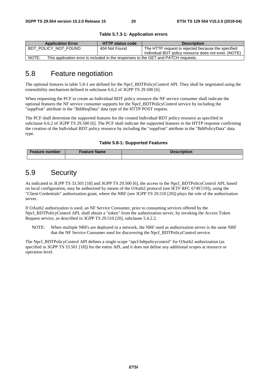| <b>Application Error</b>                                                                    | <b>HTTP status code</b> | <b>Description</b>                                                                                          |  |  |  |
|---------------------------------------------------------------------------------------------|-------------------------|-------------------------------------------------------------------------------------------------------------|--|--|--|
| BDT_POLICY_NOT_FOUND                                                                        | 404 Not Found           | The HTTP request is rejected because the specified<br>Individual BDT policy resource does not exist. (NOTE) |  |  |  |
| NOTE:<br>This application error is included in the responses to the GET and PATCH requests. |                         |                                                                                                             |  |  |  |

#### **Table 5.7.3-1: Application errors**

### 5.8 Feature negotiation

The optional features in table 5.8-1 are defined for the Npcf\_BDTPolicyControl API. They shall be negotiated using the extensibility mechanism defined in subclause 6.6.2 of 3GPP TS 29.500 [6].

When requesting the PCF to create an Individual BDT policy resource the NF service consumer shall indicate the optional features the NF service consumer supports for the Npcf\_BDTPolicyControl service by including the "suppFeat" attribute in the "BdtReqData" data type of the HTTP POST request.

The PCF shall determine the supported features for the created Individual BDT policy resource as specified in subclause 6.6.2 of 3GPP TS 29.500 [6]. The PCF shall indicate the supported features in the HTTP response confirming the creation of the Individual BDT policy resource by including the "suppFeat" attribute in the "BdtPolicyData" data type.

| Table 5.8-1: Supported Features |  |  |
|---------------------------------|--|--|
|---------------------------------|--|--|

| <b>Feature number</b> | <b>Feature Name</b> | <b>Description</b> |
|-----------------------|---------------------|--------------------|
|                       |                     |                    |

### 5.9 Security

As indicated in 3GPP TS 33.501 [18] and 3GPP TS 29.500 [6], the access to the Npcf\_BDTPolicyControl API, based on local configuration, may be authorized by means of the OAuth2 protocol (see IETF RFC 6749 [19]), using the "Client Credentials" authorization grant, where the NRF (see 3GPP TS 29.510 [20]) plays the role of the authorization server.

If OAuth2 authorization is used, an NF Service Consumer, prior to consuming services offered by the Npcf\_BDTPolicyControl API, shall obtain a "token" from the authorization server, by invoking the Access Token Request service, as described in 3GPP TS 29.510 [20], subclause 5.4.2.2.

NOTE: When multiple NRFs are deployed in a network, the NRF used as authorization server is the same NRF that the NF Service Consumer used for discovering the Npcf\_BDTPolicyControl service.

The Npcf\_BDTPolicyControl API defines a single scope "npcf-bdtpolicycontrol" for OAuth2 authorization (as specified in 3GPP TS 33.501 [18]) for the entire API, and it does not define any additional scopes at resource or operation level.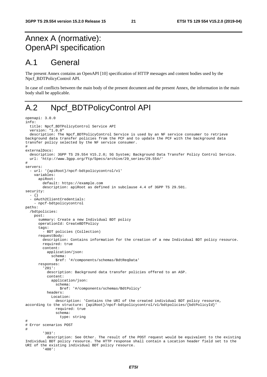# Annex A (normative): OpenAPI specification

# A.1 General

The present Annex contains an OpenAPI [10] specification of HTTP messages and content bodies used by the Npcf\_BDTPolicyControl API.

In case of conflicts between the main body of the present document and the present Annex, the information in the main body shall be applicable.

# A.2 Npcf\_BDTPolicyControl API

```
openapi: 3.0.0 
info: 
   title: Npcf_BDTPolicyControl Service API 
   version: "1.0.0" 
   description: The Npcf_BDTPolicyControl Service is used by an NF service consumer to retrieve 
background data transfer policies from the PCF and to update the PCF with the background data 
transfer policy selected by the NF service consumer. 
# 
externalDocs: 
   description: 3GPP TS 29.554 V15.2.0; 5G System; Background Data Transfer Policy Control Service. 
   url: 'http://www.3gpp.org/ftp/Specs/archive/29_series/29.554/' 
# 
servers: 
    - url: '{apiRoot}/npcf-bdtpolicycontrol/v1' 
     variables: 
       apiRoot: 
         default: https://example.com 
         description: apiRoot as defined in subclause 4.4 of 3GPP TS 29.501. 
security: 
   - {} 
   - oAuth2ClientCredentials: 
     - npcf-bdtpolicycontrol 
paths: 
   /bdtpolicies: 
    post: 
       summary: Create a new Individual BDT policy 
       operationId: CreateBDTPolicy 
       tags: 
         - BDT policies (Collection) 
       requestBody: 
         description: Contains information for the creation of a new Individual BDT policy resource. 
         required: true 
         content: 
           application/json: 
              schema: 
                $ref: '#/components/schemas/BdtReqData' 
       responses: 
          '201': 
           description: Background data transfer policies offered to an ASP. 
           content: 
              application/json: 
                schema: 
                  $ref: '#/components/schemas/BdtPolicy' 
           headers: 
              Location: 
                description: 'Contains the URI of the created individual BDT policy resource, 
according to the structure: {apiRoot}/npcf-bdtpolicycontrol/v1/bdtpolicies/{bdtPolicyId}' 
                required: true 
                schema: 
                  type: string 
# 
# Error scenarios POST 
# 
         '303': 
           description: See Other. The result of the POST request would be equivalent to the existing 
Individual BDT policy resource. The HTTP response shall contain a Location header field set to the 
URI of the existing individual BDT policy resource.
```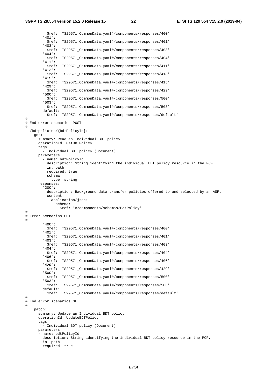**3GPP TS 29.554 version 15.2.0 Release 15 22 ETSI TS 129 554 V15.2.0 (2019-04)**

 \$ref: 'TS29571\_CommonData.yaml#/components/responses/400' '401': \$ref: 'TS29571\_CommonData.yaml#/components/responses/401' '403': \$ref: 'TS29571\_CommonData.yaml#/components/responses/403' '404': \$ref: 'TS29571\_CommonData.yaml#/components/responses/404' '411': \$ref: 'TS29571\_CommonData.yaml#/components/responses/411' '413': \$ref: 'TS29571\_CommonData.yaml#/components/responses/413' '415': \$ref: 'TS29571\_CommonData.yaml#/components/responses/415' '429': \$ref: 'TS29571\_CommonData.yaml#/components/responses/429' '500': \$ref: 'TS29571\_CommonData.yaml#/components/responses/500' '503': \$ref: 'TS29571\_CommonData.yaml#/components/responses/503' default: \$ref: 'TS29571\_CommonData.yaml#/components/responses/default' # # End error scenarios POST # /bdtpolicies/{bdtPolicyId}: get: summary: Read an Individual BDT policy operationId: GetBDTPolicy tags: - Individual BDT policy (Document) parameters: - name: bdtPolicyId description: String identifying the individual BDT policy resource in the PCF. in: path required: true schema: type: string responses: '200': description: Background data transfer policies offered to and selected by an ASP. content: application/json: schema: \$ref: '#/components/schemas/BdtPolicy' # # Error scenarios GET # '400': \$ref: 'TS29571\_CommonData.yaml#/components/responses/400' '401': \$ref: 'TS29571\_CommonData.yaml#/components/responses/401' '403': \$ref: 'TS29571\_CommonData.yaml#/components/responses/403' '404': \$ref: 'TS29571\_CommonData.yaml#/components/responses/404' '406': \$ref: 'TS29571\_CommonData.yaml#/components/responses/406' '429': \$ref: 'TS29571\_CommonData.yaml#/components/responses/429' '500': \$ref: 'TS29571\_CommonData.yaml#/components/responses/500' '503': \$ref: 'TS29571\_CommonData.yaml#/components/responses/503' default: \$ref: 'TS29571\_CommonData.yaml#/components/responses/default' # # End error scenarios GET # patch: summary: Update an Individual BDT policy operationId: UpdateBDTPolicy tags: - Individual BDT policy (Document) parameters: - name: bdtPolicyId description: String identifying the individual BDT policy resource in the PCF. in: path required: true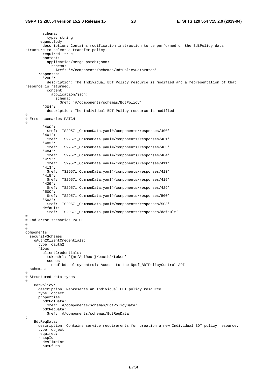```
 schema: 
           type: string 
       requestBody: 
         description: Contains modification instruction to be performed on the BdtPolicy data 
structure to select a transfer policy. 
         required: true 
         content: 
           application/merge-patch+json: 
              schema: 
                $ref: '#/components/schemas/BdtPolicyDataPatch' 
       responses: 
          '200': 
           description: The Individual BDT Policy resource is modified and a representation of that 
resource is returned. 
           content: 
             application/json: 
                schema: 
                  $ref: '#/components/schemas/BdtPolicy' 
         '204': 
           description: The Individual BDT Policy resource is modified. 
# 
# Error scenarios PATCH 
# 
         '400': 
           $ref: 'TS29571_CommonData.yaml#/components/responses/400' 
          '401': 
           $ref: 'TS29571_CommonData.yaml#/components/responses/401' 
         '403': 
           $ref: 'TS29571_CommonData.yaml#/components/responses/403' 
         '404': 
           $ref: 'TS29571_CommonData.yaml#/components/responses/404' 
         '411': 
           $ref: 'TS29571_CommonData.yaml#/components/responses/411' 
         '413': 
           $ref: 'TS29571_CommonData.yaml#/components/responses/413' 
          '415': 
           $ref: 'TS29571_CommonData.yaml#/components/responses/415' 
         '429': 
           $ref: 'TS29571_CommonData.yaml#/components/responses/429' 
         '500': 
           $ref: 'TS29571_CommonData.yaml#/components/responses/500' 
          '503': 
           $ref: 'TS29571_CommonData.yaml#/components/responses/503' 
         default: 
           $ref: 'TS29571_CommonData.yaml#/components/responses/default' 
# 
# End error scenarios PATCH 
# 
# 
components: 
   securitySchemes: 
    oAuth2ClientCredentials: 
       type: oauth2 
       flows: 
         clientCredentials: 
           tokenUrl: '{nrfApiRoot}/oauth2/token' 
           scopes: 
             npcf-bdtpolicycontrol: Access to the Npcf_BDTPolicyControl API 
   schemas: 
# 
# Structured data types 
# 
     BdtPolicy: 
       description: Represents an Individual BDT policy resource. 
       type: object 
       properties: 
         bdtPolData: 
           $ref: '#/components/schemas/BdtPolicyData' 
         bdtReqData: 
           $ref: '#/components/schemas/BdtReqData' 
# 
     BdtReqData: 
       description: Contains service requirements for creation a new Individual BDT policy resource. 
       type: object 
       required: 
       - aspId 
       - desTimeInt 
       - numOfUes
```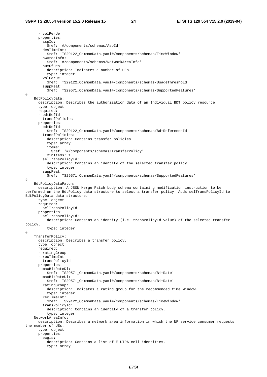- volPerUe properties: aspId: \$ref: '#/components/schemas/AspId' desTimeInt: \$ref: 'TS29122\_CommonData.yaml#/components/schemas/TimeWindow' nwAreaInfo: \$ref: '#/components/schemas/NetworkAreaInfo' numOfUes: description: Indicates a number of UEs. type: integer volPerUe: \$ref: 'TS29122\_CommonData.yaml#/components/schemas/UsageThreshold' suppFeat: \$ref: 'TS29571\_CommonData.yaml#/components/schemas/SupportedFeatures' # BdtPolicyData: description: Describes the authorization data of an Individual BDT policy resource. type: object required: - bdtRefId - transfPolicies properties: bdtRefId: \$ref: 'TS29122\_CommonData.yaml#/components/schemas/BdtReferenceId' transfPolicies: description: Contains transfer policies. type: array items: \$ref: '#/components/schemas/TransferPolicy' minItems: 1 selTransPolicyId: description: Contains an identity of the selected transfer policy. type: integer suppFeat: \$ref: 'TS29571\_CommonData.yaml#/components/schemas/SupportedFeatures' # BdtPolicyDataPatch: description: A JSON Merge Patch body schema containing modification instruction to be performed on the BdtPolicy data structure to select a transfer policy. Adds selTransPolicyId to BdtPolicyData data structure. type: object required: - selTransPolicyId properties: selTransPolicyId: description: Contains an identity (i.e. transPolicyId value) of the selected transfer policy. type: integer # TransferPolicy: description: Describes a transfer policy. type: object required: - ratingGroup - recTimeInt - transPolicyId properties: maxBitRateDl: \$ref: 'TS29571\_CommonData.yaml#/components/schemas/BitRate' maxBitRateUl: \$ref: 'TS29571\_CommonData.yaml#/components/schemas/BitRate' ratingGroup: description: Indicates a rating group for the recommended time window. type: integer recTimeInt: \$ref: 'TS29122\_CommonData.yaml#/components/schemas/TimeWindow' transPolicyId: description: Contains an identity of a transfer policy. type: integer NetworkAreaInfo: description: Describes a network area information in which the NF service consumer requests the number of UEs. type: object properties: ecgis: description: Contains a list of E-UTRA cell identities. type: array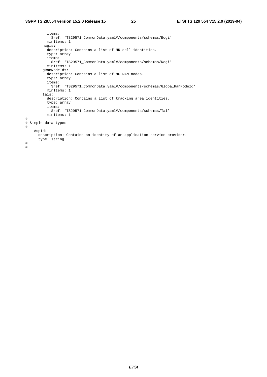```
 items: 
             $ref: 'TS29571_CommonData.yaml#/components/schemas/Ecgi' 
           minItems: 1 
         ncgis: 
           description: Contains a list of NR cell identities. 
           type: array 
           items: 
             $ref: 'TS29571_CommonData.yaml#/components/schemas/Ncgi' 
           minItems: 1 
         gRanNodeIds: 
           description: Contains a list of NG RAN nodes. 
           type: array 
           items: 
             $ref: 'TS29571_CommonData.yaml#/components/schemas/GlobalRanNodeId' 
           minItems: 1 
         tais: 
           description: Contains a list of tracking area identities. 
           type: array 
           items: 
             $ref: 'TS29571_CommonData.yaml#/components/schemas/Tai' 
           minItems: 1 
# 
# Simple data types 
# 
     AspId: 
       description: Contains an identity of an application service provider. 
       type: string 
# 
#
```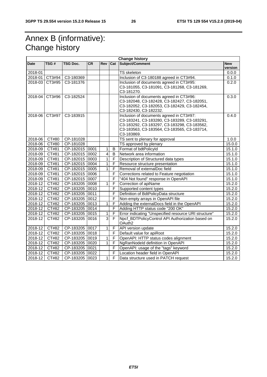# Annex B (informative): Change history

| <b>Change history</b> |                     |                |     |                         |                         |                                                                                         |            |
|-----------------------|---------------------|----------------|-----|-------------------------|-------------------------|-----------------------------------------------------------------------------------------|------------|
| Date                  | TSG#                | TSG Doc.       | CR. | <b>Rev</b>              | Cat                     | Subject/Comment                                                                         | <b>New</b> |
|                       |                     |                |     |                         |                         |                                                                                         | version    |
| 2018-01               |                     |                |     |                         |                         | <b>TS</b> skeleton                                                                      | 0.0.0      |
| 2018-01               | CT3#94              | C3-180369      |     |                         |                         | Inclusion of C3-180188 agreed in CT3#94.                                                | 0.1.0      |
| 2018-03               | CT3#95              | C3-181376      |     |                         |                         | Inclusion of documents agreed in CT3#95:                                                | 0.2.0      |
|                       |                     |                |     |                         |                         | C3-181055, C3-181091, C3-181268, C3-181269,                                             |            |
|                       |                     |                |     |                         |                         | C3-181270.                                                                              |            |
| 2018-04               | CT3#96              | C3-182524      |     |                         |                         | Inclusion of documents agreed in CT3#96:                                                | 0.3.0      |
|                       |                     |                |     |                         |                         | C3-182048, C3-182428, C3-182427, C3-182051,                                             |            |
|                       |                     |                |     |                         |                         | C3-182052, C3-182053, C3-182429, C3-182454,                                             |            |
| 2018-06 CT3#97        |                     | C3-183915      |     |                         |                         | C3-182430, C3-182232.                                                                   |            |
|                       |                     |                |     |                         |                         | Inclusion of documents agreed in CT3#97:<br>C3-183241, C3-183280, C3-183289, C3-183291, | 0.4.0      |
|                       |                     |                |     |                         |                         | C3-183292, C3-183297, C3-183298, C3-183562,                                             |            |
|                       |                     |                |     |                         |                         | C3-183563, C3-183564, C3-183565, C3-183714,                                             |            |
|                       |                     |                |     |                         |                         | C3-183869.                                                                              |            |
| 2018-06               | CT#80               | CP-181028      |     |                         |                         | TS sent to plenary for approval                                                         | 1.0.0      |
| 2018-06               | CT#80               | CP-181028      |     |                         |                         | TS approved by plenary                                                                  | 15.0.0     |
| 2018-09               | CT#81               | CP-182015 0001 |     | 1                       | В                       | Format of bdtPolicyId                                                                   | 15.1.0     |
| 2018-09               | CT#81               | CP-182015 0002 |     | $\overline{\mathbf{4}}$ | B                       | Network area information                                                                | 15.1.0     |
| 2018-09               | $\overline{C}$ T#81 | CP-182015 0003 |     | $\mathbf{1}$            | F                       | Description of Structured data types                                                    | 15.1.0     |
| 2018-09               | CT#81               | CP-182015 0004 |     | 1                       | F                       | Resource structure presentation                                                         | 15.1.0     |
| 2018-09               | CT#81               | CP-182015 0005 |     | $\mathbf{1}$            | F                       | Removal of externalDoc field                                                            | 15.1.0     |
| 2018-09               | CT#81               | CP-182015 0006 |     |                         | F                       | Corrections related to Feature negotiation                                              | 15.1.0     |
| 2018-09               | CT#81               | CP-182015 0007 |     |                         | F                       | "404 Not found" response in OpenAPI                                                     | 15.1.0     |
| $2018 - 12$           | $\overline{C}$ T#82 | CP-183205 0008 |     | $\mathbf{1}$            | F                       | Correction of apiName                                                                   | 15.2.0     |
| $2018 - 12$           | <b>CT#82</b>        | CP-183205 0010 |     |                         | F                       | Supported content types                                                                 | 15.2.0     |
| 2018-12               | CT#82               | CP-183205 0011 |     |                         | F                       | Definition of BdtPolicyData structure                                                   | 15.2.0     |
| 2018-12               | CT#82               | CP-183205 0012 |     |                         | F                       | Non-empty arrays in OpenAPI file                                                        | 15.2.0     |
| 2018-12               | CT#82               | CP-183205 0013 |     | $\mathbf{1}$            | F                       | Adding the externalDocs field in the OpenAPI                                            | 15.2.0     |
| 2018-12               | CT#82               | CP-183205 0014 |     |                         | F                       | Adding HTTP status code "200 OK"                                                        | 15.2.0     |
| 2018-12               | CT#82               | CP-183205 0015 |     | $\mathbf{1}$            | F                       | Error indicating "Unspecified resource URI structure"                                   | 15.2.0     |
| 2018-12               | CT#82               | CP-183205 0016 |     | $\overline{3}$          | $\overline{\mathsf{F}}$ | Npcf_BDTPolicyControl API Authorization based on                                        | 15.2.0     |
|                       |                     |                |     |                         |                         | OAuth <sub>2</sub>                                                                      |            |
| 2018-12               | CT#82               | CP-183205 0017 |     | $\mathbf{1}$            | F                       | API version update                                                                      | 15.2.0     |
| 2018-12               | CT#82               | CP-183205 0018 |     |                         | $\overline{F}$          | Default value for apiRoot                                                               | 15.2.0     |
| $\overline{2}018-12$  | $\overline{C}$ T#82 | CP-183205 0019 |     | $\mathbf{1}$            | F                       | OpenAPI: HTTP status codes alignment                                                    | 15.2.0     |
| 2018-12               | CT#82               | CP-183205 0020 |     | $\mathbf{1}$            | F                       | NgRanNodeld definition in OpenAPI                                                       | 15.2.0     |
| $2018 - 12$           | CT#82               | CP-183205 0021 |     |                         | F                       | OpenAPI: usage of the "tags" keyword                                                    | 15.2.0     |
| 2018-12               | CT#82               | CP-183205 0022 |     |                         | F                       | Location header field in OpenAPI                                                        | 15.2.0     |
| 2018-12               | CT#82               | CP-183205 0023 |     | 1                       | $\overline{\mathsf{F}}$ | Data structure used in PATCH request                                                    | 15.2.0     |